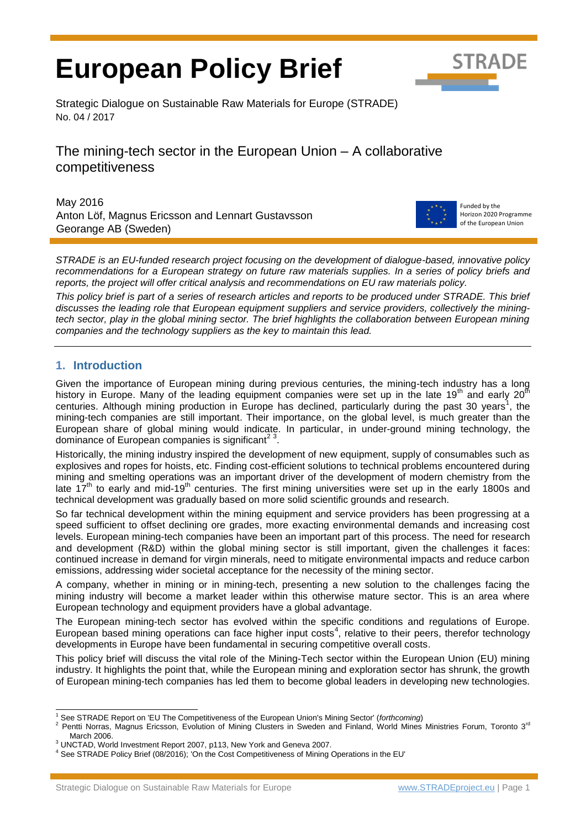# **European Policy Brief**



Strategic Dialogue on Sustainable Raw Materials for Europe (STRADE) No. 04 / 2017

The mining-tech sector in the European Union – A collaborative competitiveness

May 2016 Anton Löf, Magnus Ericsson and Lennart Gustavsson Georange AB (Sweden)



Funded by the Horizon 2020 Programme of the European Union

*STRADE is an EU-funded research project focusing on the development of dialogue-based, innovative policy recommendations for a European strategy on future raw materials supplies. In a series of policy briefs and reports, the project will offer critical analysis and recommendations on EU raw materials policy.* 

*This policy brief is part of a series of research articles and reports to be produced under STRADE. This brief discusses the leading role that European equipment suppliers and service providers, collectively the miningtech sector, play in the global mining sector. The brief highlights the collaboration between European mining companies and the technology suppliers as the key to maintain this lead.* 

# **1. Introduction**

Given the importance of European mining during previous centuries, the mining-tech industry has a long history in Europe. Many of the leading equipment companies were set up in the late 19<sup>th</sup> and early 20<sup>th</sup> centuries. Although mining production in Europe has declined, particularly during the past 30 years<sup>1</sup>, the mining-tech companies are still important. Their importance, on the global level, is much greater than the European share of global mining would indicate. In particular, in under-ground mining technology, the dominance of European companies is significant $2^3$ .

Historically, the mining industry inspired the development of new equipment, supply of consumables such as explosives and ropes for hoists, etc. Finding cost-efficient solutions to technical problems encountered during mining and smelting operations was an important driver of the development of modern chemistry from the late  $17<sup>th</sup>$  to early and mid-19<sup>th</sup> centuries. The first mining universities were set up in the early 1800s and technical development was gradually based on more solid scientific grounds and research.

So far technical development within the mining equipment and service providers has been progressing at a speed sufficient to offset declining ore grades, more exacting environmental demands and increasing cost levels. European mining-tech companies have been an important part of this process. The need for research and development (R&D) within the global mining sector is still important, given the challenges it faces: continued increase in demand for virgin minerals, need to mitigate environmental impacts and reduce carbon emissions, addressing wider societal acceptance for the necessity of the mining sector.

A company, whether in mining or in mining-tech, presenting a new solution to the challenges facing the mining industry will become a market leader within this otherwise mature sector. This is an area where European technology and equipment providers have a global advantage.

The European mining-tech sector has evolved within the specific conditions and regulations of Europe. European based mining operations can face higher input costs<sup>4</sup>, relative to their peers, therefor technology developments in Europe have been fundamental in securing competitive overall costs.

This policy brief will discuss the vital role of the Mining-Tech sector within the European Union (EU) mining industry. It highlights the point that, while the European mining and exploration sector has shrunk, the growth of European mining-tech companies has led them to become global leaders in developing new technologies.

 $\overline{a}$ <sup>1</sup> See STRADE Report on 'EU The Competitiveness of the European Union's Mining Sector' (*forthcoming*)

<sup>2</sup> Pentti Norras, Magnus Ericsson, Evolution of Mining Clusters in Sweden and Finland, World Mines Ministries Forum, Toronto 3rd March 2006.

<sup>3</sup> UNCTAD, World Investment Report 2007, p113, New York and Geneva 2007.

<sup>4</sup> See STRADE Policy Brief (08/2016); 'On the Cost Competitiveness of Mining Operations in the EU'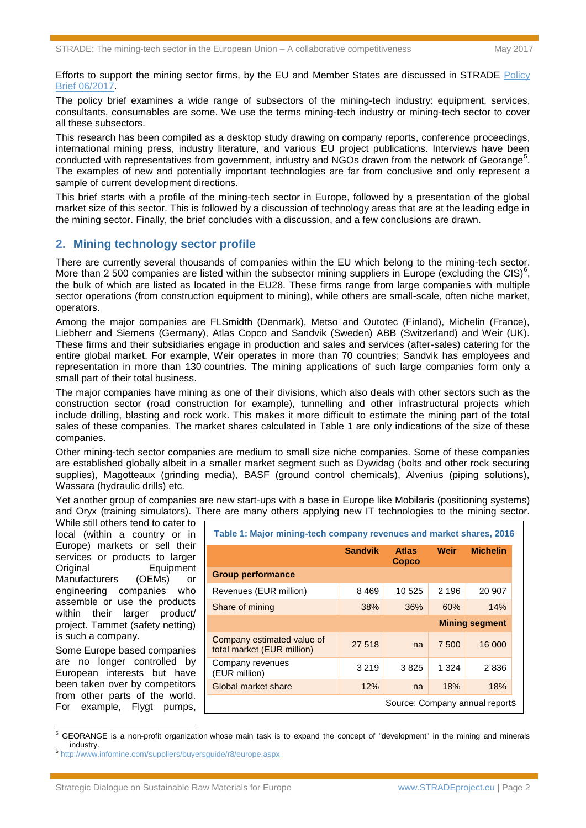Efforts to support the mining sector firms, by the EU and Member States are discussed in STRADE [Policy](http://www.stradeproject.eu/fileadmin/user_upload/pdf/PolicyBrief_06-2016_Nov2016_FINAL.pdf)  [Brief 06/2017.](http://www.stradeproject.eu/fileadmin/user_upload/pdf/PolicyBrief_06-2016_Nov2016_FINAL.pdf)

The policy brief examines a wide range of subsectors of the mining-tech industry: equipment, services, consultants, consumables are some. We use the terms mining-tech industry or mining-tech sector to cover all these subsectors.

This research has been compiled as a desktop study drawing on company reports, conference proceedings, international mining press, industry literature, and various EU project publications. Interviews have been conducted with representatives from government, industry and NGOs drawn from the network of Georange<sup>5</sup>. The examples of new and potentially important technologies are far from conclusive and only represent a sample of current development directions.

This brief starts with a profile of the mining-tech sector in Europe, followed by a presentation of the global market size of this sector. This is followed by a discussion of technology areas that are at the leading edge in the mining sector. Finally, the brief concludes with a discussion, and a few conclusions are drawn.

## **2. Mining technology sector profile**

There are currently several thousands of companies within the EU which belong to the mining-tech sector. More than 2 500 companies are listed within the subsector mining suppliers in Europe (excluding the CIS)<sup>6</sup>, the bulk of which are listed as located in the EU28. These firms range from large companies with multiple sector operations (from construction equipment to mining), while others are small-scale, often niche market, operators.

Among the major companies are FLSmidth (Denmark), Metso and Outotec (Finland), Michelin (France), Liebherr and Siemens (Germany), Atlas Copco and Sandvik (Sweden) ABB (Switzerland) and Weir (UK). These firms and their subsidiaries engage in production and sales and services (after-sales) catering for the entire global market. For example, Weir operates in more than 70 countries; Sandvik has employees and representation in more than 130 countries. The mining applications of such large companies form only a small part of their total business.

The major companies have mining as one of their divisions, which also deals with other sectors such as the construction sector (road construction for example), tunnelling and other infrastructural projects which include drilling, blasting and rock work. This makes it more difficult to estimate the mining part of the total sales of these companies. The market shares calculated in Table 1 are only indications of the size of these companies.

Other mining-tech sector companies are medium to small size niche companies. Some of these companies are established globally albeit in a smaller market segment such as Dywidag (bolts and other rock securing supplies), Magotteaux (grinding media), BASF (ground control chemicals), Alvenius (piping solutions), Wassara (hydraulic drills) etc.

Yet another group of companies are new start-ups with a base in Europe like Mobilaris (positioning systems) and Oryx (training simulators). There are many others applying new IT technologies to the mining sector.

While still others tend to cater to local (within a country or in Europe) markets or sell their services or products to larger Original Equipment Manufacturers (OEMs) or engineering companies who assemble or use the products within their larger product/ project. Tammet (safety netting) is such a company.

Some Europe based companies are no longer controlled by European interests but have been taken over by competitors from other parts of the world. For example, Flygt pumps,

| Table 1: Major mining-tech company revenues and market shares, 2016 |                |                       |         |                 |
|---------------------------------------------------------------------|----------------|-----------------------|---------|-----------------|
|                                                                     | <b>Sandvik</b> | <b>Atlas</b><br>Copco | Weir    | <b>Michelin</b> |
| <b>Group performance</b>                                            |                |                       |         |                 |
| Revenues (EUR million)                                              | 8469           | 10 525                | 2 1 9 6 | 20 907          |
| Share of mining                                                     | 38%            | 36%                   | 60%     | 14%             |
|                                                                     |                | <b>Mining segment</b> |         |                 |
| Company estimated value of<br>total market (EUR million)            | 27 518         | na                    | 7 500   | 16 000          |
| Company revenues<br>(EUR million)                                   | 3 2 1 9        | 3825                  | 1 324   | 2836            |
|                                                                     |                |                       |         |                 |
| Global market share                                                 | 12%            | na                    | 18%     | 18%             |

<sup>&</sup>lt;sup>5</sup> GEORANGE is a non-profit organization whose main task is to expand the concept of "development" in the mining and minerals industry.

<sup>6</sup> <http://www.infomine.com/suppliers/buyersguide/r8/europe.aspx>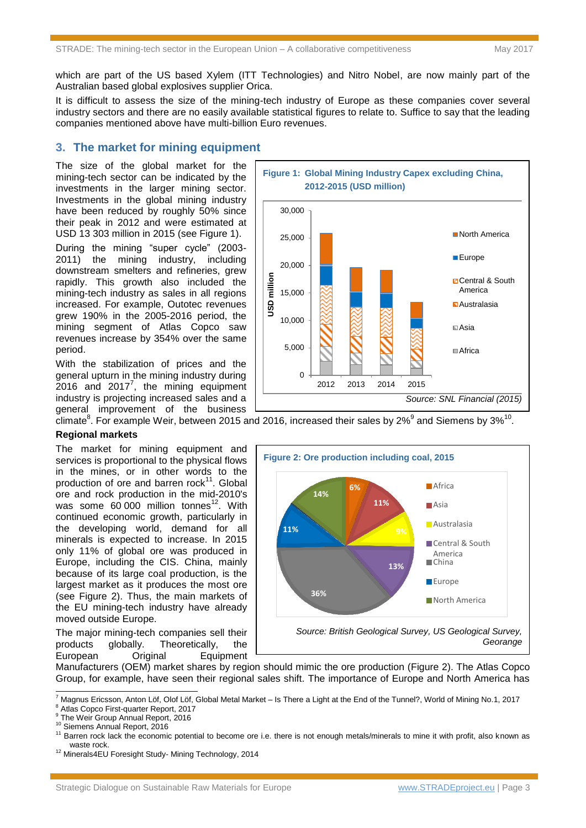which are part of the US based Xylem (ITT Technologies) and Nitro Nobel, are now mainly part of the Australian based global explosives supplier Orica.

It is difficult to assess the size of the mining-tech industry of Europe as these companies cover several industry sectors and there are no easily available statistical figures to relate to. Suffice to say that the leading companies mentioned above have multi-billion Euro revenues.

### **3. The market for mining equipment**

The size of the global market for the mining-tech sector can be indicated by the investments in the larger mining sector. Investments in the global mining industry have been reduced by roughly 50% since their peak in 2012 and were estimated at USD 13 303 million in 2015 (see Figure 1).

During the mining "super cycle" (2003- 2011) the mining industry, including downstream smelters and refineries, grew rapidly. This growth also included the mining-tech industry as sales in all regions increased. For example, Outotec revenues grew 190% in the 2005-2016 period, the mining segment of Atlas Copco saw revenues increase by 354% over the same period.

With the stabilization of prices and the general upturn in the mining industry during  $2016$  and  $2017^7$ , the mining equipment industry is projecting increased sales and a general improvement of the business



 $\tilde{c}$ limate<sup>8</sup>. For example Weir, between 2015 and 2016, increased their sales by 2%<sup>9</sup> and Siemens by 3%<sup>10</sup>.

#### **Regional markets**

The market for mining equipment and services is proportional to the physical flows in the mines, or in other words to the production of ore and barren rock $11$ . Global ore and rock production in the mid-2010's was some  $60\,000$  million tonnes<sup>12</sup>. With continued economic growth, particularly in the developing world, demand for all minerals is expected to increase. In 2015 only 11% of global ore was produced in Europe, including the CIS. China, mainly because of its large coal production, is the largest market as it produces the most ore (see Figure 2). Thus, the main markets of the EU mining-tech industry have already moved outside Europe.

The major mining-tech companies sell their products globally. Theoretically, the European Original Equipment



Manufacturers (OEM) market shares by region should mimic the ore production (Figure 2). The Atlas Copco Group, for example, have seen their regional sales shift. The importance of Europe and North America has

<sup>8</sup> Atlas Copco First-quarter Report, 2017

The Weir Group Annual Report, 2016

 $\overline{a}$ 

*Source: SNL Financial (2015)*

<sup>7</sup> Magnus Ericsson, Anton Löf, Olof Löf, Global Metal Market – Is There a Light at the End of the Tunnel?, World of Mining No.1, 2017

<sup>10</sup> Siemens Annual Report, 2016

<sup>&</sup>lt;sup>11</sup> Barren rock lack the economic potential to become ore i.e. there is not enough metals/minerals to mine it with profit, also known as waste rock.

<sup>12</sup> Minerals4EU Foresight Study- Mining Technology, 2014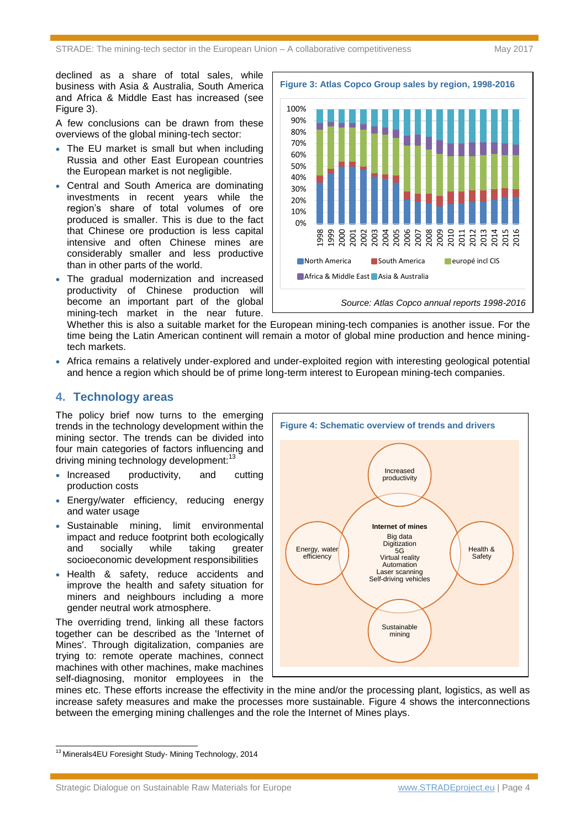declined as a share of total sales, while business with Asia & Australia, South America and Africa & Middle East has increased (see Figure 3).

A few conclusions can be drawn from these overviews of the global mining-tech sector:

- The EU market is small but when including Russia and other East European countries the European market is not negligible.
- Central and South America are dominating investments in recent years while the region's share of total volumes of ore produced is smaller. This is due to the fact that Chinese ore production is less capital intensive and often Chinese mines are considerably smaller and less productive than in other parts of the world.
- The gradual modernization and increased productivity of Chinese production will become an important part of the global mining-tech market in the near future.



Whether this is also a suitable market for the European mining-tech companies is another issue. For the time being the Latin American continent will remain a motor of global mine production and hence miningtech markets.

 Africa remains a relatively under-explored and under-exploited region with interesting geological potential and hence a region which should be of prime long-term interest to European mining-tech companies.

#### **4. Technology areas**

The policy brief now turns to the emerging trends in the technology development within the mining sector. The trends can be divided into four main categories of factors influencing and driving mining technology development:

- Increased productivity, and cutting production costs
- Energy/water efficiency, reducing energy and water usage
- Sustainable mining, limit environmental impact and reduce footprint both ecologically and socially while taking greater socioeconomic development responsibilities
- Health & safety, reduce accidents and improve the health and safety situation for miners and neighbours including a more gender neutral work atmosphere.

The overriding trend, linking all these factors together can be described as the 'Internet of Mines'. Through digitalization, companies are trying to: remote operate machines, connect machines with other machines, make machines self-diagnosing, monitor employees in the



mines etc. These efforts increase the effectivity in the mine and/or the processing plant, logistics, as well as increase safety measures and make the processes more sustainable. Figure 4 shows the interconnections between the emerging mining challenges and the role the Internet of Mines plays.

 $\overline{a}$ 

Strategic Dialogue on Sustainable Raw Materials for Europe [www.STRADEproject.eu](http://www.stradeproject.eu/) | Page 4

<sup>&</sup>lt;sup>13</sup> Minerals4EU Foresight Study- Mining Technology, 2014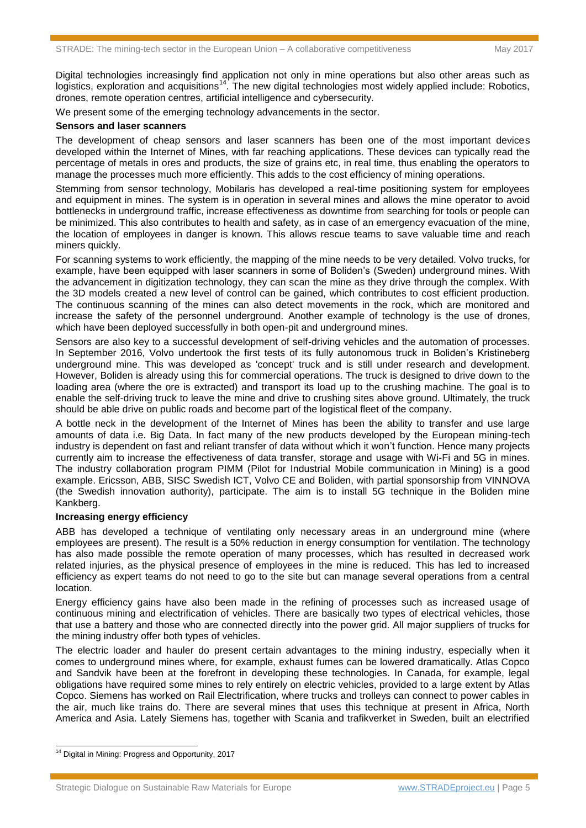Digital technologies increasingly find application not only in mine operations but also other areas such as logistics, exploration and acquisitions<sup>14</sup>. The new digital technologies most widely applied include: Robotics, drones, remote operation centres, artificial intelligence and cybersecurity.

We present some of the emerging technology advancements in the sector.

#### **Sensors and laser scanners**

The development of cheap sensors and laser scanners has been one of the most important devices developed within the Internet of Mines, with far reaching applications. These devices can typically read the percentage of metals in ores and products, the size of grains etc, in real time, thus enabling the operators to manage the processes much more efficiently. This adds to the cost efficiency of mining operations.

Stemming from sensor technology, Mobilaris has developed a real-time positioning system for employees and equipment in mines. The system is in operation in several mines and allows the mine operator to avoid bottlenecks in underground traffic, increase effectiveness as downtime from searching for tools or people can be minimized. This also contributes to health and safety, as in case of an emergency evacuation of the mine, the location of employees in danger is known. This allows rescue teams to save valuable time and reach miners quickly.

For scanning systems to work efficiently, the mapping of the mine needs to be very detailed. Volvo trucks, for example, have been equipped with laser scanners in some of Boliden's (Sweden) underground mines. With the advancement in digitization technology, they can scan the mine as they drive through the complex. With the 3D models created a new level of control can be gained, which contributes to cost efficient production. The continuous scanning of the mines can also detect movements in the rock, which are monitored and increase the safety of the personnel underground. Another example of technology is the use of drones, which have been deployed successfully in both open-pit and underground mines.

Sensors are also key to a successful development of self-driving vehicles and the automation of processes. In September 2016, Volvo undertook the first tests of its fully autonomous truck in Boliden's Kristineberg underground mine. This was developed as 'concept' truck and is still under research and development. However, Boliden is already using this for commercial operations. The truck is designed to drive down to the loading area (where the ore is extracted) and transport its load up to the crushing machine. The goal is to enable the self-driving truck to leave the mine and drive to crushing sites above ground. Ultimately, the truck should be able drive on public roads and become part of the logistical fleet of the company.

A bottle neck in the development of the Internet of Mines has been the ability to transfer and use large amounts of data i.e. Big Data. In fact many of the new products developed by the European mining-tech industry is dependent on fast and reliant transfer of data without which it won't function. Hence many projects currently aim to increase the effectiveness of data transfer, storage and usage with Wi-Fi and 5G in mines. The industry collaboration program PIMM (Pilot for Industrial Mobile communication in Mining) is a good example. Ericsson, ABB, SISC Swedish ICT, Volvo CE and Boliden, with partial sponsorship from VINNOVA (the Swedish innovation authority), participate. The aim is to install 5G technique in the Boliden mine Kankberg.

#### **Increasing energy efficiency**

ABB has developed a technique of ventilating only necessary areas in an underground mine (where employees are present). The result is a 50% reduction in energy consumption for ventilation. The technology has also made possible the remote operation of many processes, which has resulted in decreased work related injuries, as the physical presence of employees in the mine is reduced. This has led to increased efficiency as expert teams do not need to go to the site but can manage several operations from a central location.

Energy efficiency gains have also been made in the refining of processes such as increased usage of continuous mining and electrification of vehicles. There are basically two types of electrical vehicles, those that use a battery and those who are connected directly into the power grid. All major suppliers of trucks for the mining industry offer both types of vehicles.

The electric loader and hauler do present certain advantages to the mining industry, especially when it comes to underground mines where, for example, exhaust fumes can be lowered dramatically. Atlas Copco and Sandvik have been at the forefront in developing these technologies. In Canada, for example, legal obligations have required some mines to rely entirely on electric vehicles, provided to a large extent by Atlas Copco. Siemens has worked on Rail Electrification, where trucks and trolleys can connect to power cables in the air, much like trains do. There are several mines that uses this technique at present in Africa, North America and Asia. Lately Siemens has, together with Scania and trafikverket in Sweden, built an electrified

<sup>&</sup>lt;sup>14</sup> Digital in Mining: Progress and Opportunity, 2017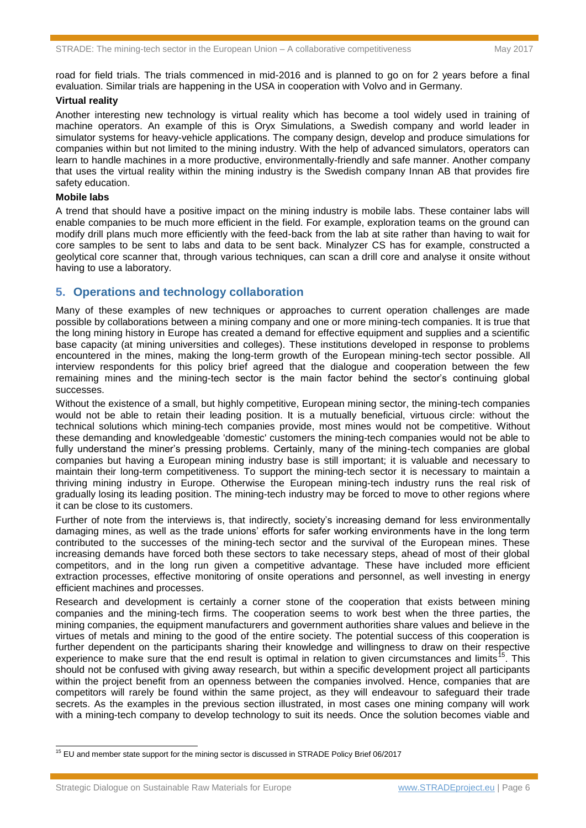road for field trials. The trials commenced in mid-2016 and is planned to go on for 2 years before a final evaluation. Similar trials are happening in the USA in cooperation with Volvo and in Germany.

#### **Virtual reality**

Another interesting new technology is virtual reality which has become a tool widely used in training of machine operators. An example of this is Oryx Simulations, a Swedish company and world leader in simulator systems for heavy-vehicle applications. The company design, develop and produce simulations for companies within but not limited to the mining industry. With the help of advanced simulators, operators can learn to handle machines in a more productive, environmentally-friendly and safe manner. Another company that uses the virtual reality within the mining industry is the Swedish company Innan AB that provides fire safety education.

#### **Mobile labs**

A trend that should have a positive impact on the mining industry is mobile labs. These container labs will enable companies to be much more efficient in the field. For example, exploration teams on the ground can modify drill plans much more efficiently with the feed-back from the lab at site rather than having to wait for core samples to be sent to labs and data to be sent back. Minalyzer CS has for example, constructed a geolytical core scanner that, through various techniques, can scan a drill core and analyse it onsite without having to use a laboratory.

#### **5. Operations and technology collaboration**

Many of these examples of new techniques or approaches to current operation challenges are made possible by collaborations between a mining company and one or more mining-tech companies. It is true that the long mining history in Europe has created a demand for effective equipment and supplies and a scientific base capacity (at mining universities and colleges). These institutions developed in response to problems encountered in the mines, making the long-term growth of the European mining-tech sector possible. All interview respondents for this policy brief agreed that the dialogue and cooperation between the few remaining mines and the mining-tech sector is the main factor behind the sector's continuing global successes.

Without the existence of a small, but highly competitive, European mining sector, the mining-tech companies would not be able to retain their leading position. It is a mutually beneficial, virtuous circle: without the technical solutions which mining-tech companies provide, most mines would not be competitive. Without these demanding and knowledgeable 'domestic' customers the mining-tech companies would not be able to fully understand the miner's pressing problems. Certainly, many of the mining-tech companies are global companies but having a European mining industry base is still important; it is valuable and necessary to maintain their long-term competitiveness. To support the mining-tech sector it is necessary to maintain a thriving mining industry in Europe. Otherwise the European mining-tech industry runs the real risk of gradually losing its leading position. The mining-tech industry may be forced to move to other regions where it can be close to its customers.

Further of note from the interviews is, that indirectly, society's increasing demand for less environmentally damaging mines, as well as the trade unions' efforts for safer working environments have in the long term contributed to the successes of the mining-tech sector and the survival of the European mines. These increasing demands have forced both these sectors to take necessary steps, ahead of most of their global competitors, and in the long run given a competitive advantage. These have included more efficient extraction processes, effective monitoring of onsite operations and personnel, as well investing in energy efficient machines and processes.

Research and development is certainly a corner stone of the cooperation that exists between mining companies and the mining-tech firms. The cooperation seems to work best when the three parties, the mining companies, the equipment manufacturers and government authorities share values and believe in the virtues of metals and mining to the good of the entire society. The potential success of this cooperation is further dependent on the participants sharing their knowledge and willingness to draw on their respective experience to make sure that the end result is optimal in relation to given circumstances and limits<sup>15</sup>. This should not be confused with giving away research, but within a specific development project all participants within the project benefit from an openness between the companies involved. Hence, companies that are competitors will rarely be found within the same project, as they will endeavour to safeguard their trade secrets. As the examples in the previous section illustrated, in most cases one mining company will work with a mining-tech company to develop technology to suit its needs. Once the solution becomes viable and

<sup>&</sup>lt;sup>15</sup> EU and member state support for the mining sector is discussed in STRADE Policy Brief 06/2017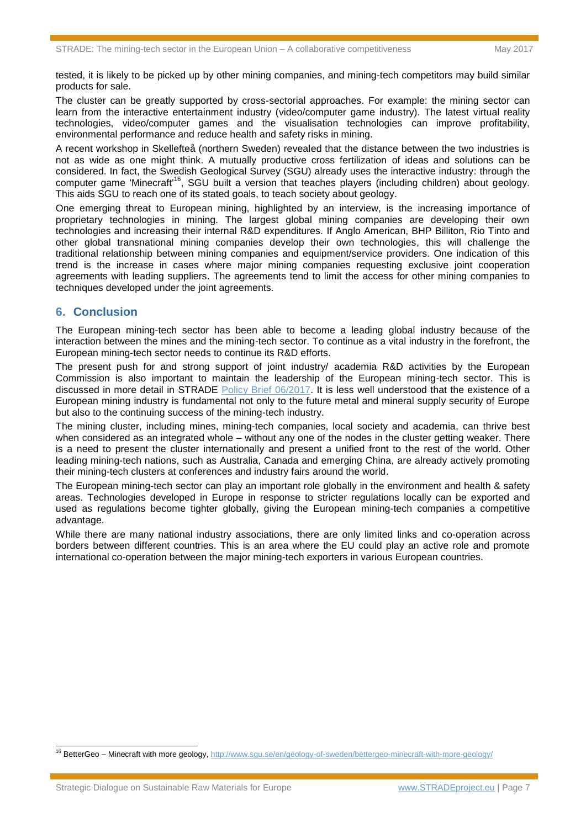tested, it is likely to be picked up by other mining companies, and mining-tech competitors may build similar products for sale.

The cluster can be greatly supported by cross-sectorial approaches. For example: the mining sector can learn from the interactive entertainment industry (video/computer game industry). The latest virtual reality technologies, video/computer games and the visualisation technologies can improve profitability, environmental performance and reduce health and safety risks in mining.

A recent workshop in Skellefteå (northern Sweden) revealed that the distance between the two industries is not as wide as one might think. A mutually productive cross fertilization of ideas and solutions can be considered. In fact, the Swedish Geological Survey (SGU) already uses the interactive industry: through the computer game 'Minecraft'<sup>16</sup>, SGU built a version that teaches players (including children) about geology. This aids SGU to reach one of its stated goals, to teach society about geology.

One emerging threat to European mining, highlighted by an interview, is the increasing importance of proprietary technologies in mining. The largest global mining companies are developing their own technologies and increasing their internal R&D expenditures. If Anglo American, BHP Billiton, Rio Tinto and other global transnational mining companies develop their own technologies, this will challenge the traditional relationship between mining companies and equipment/service providers. One indication of this trend is the increase in cases where major mining companies requesting exclusive joint cooperation agreements with leading suppliers. The agreements tend to limit the access for other mining companies to techniques developed under the joint agreements.

#### **6. Conclusion**

The European mining-tech sector has been able to become a leading global industry because of the interaction between the mines and the mining-tech sector. To continue as a vital industry in the forefront, the European mining-tech sector needs to continue its R&D efforts.

The present push for and strong support of joint industry/ academia R&D activities by the European Commission is also important to maintain the leadership of the European mining-tech sector. This is discussed in more detail in STRADE [Policy Brief 06/2017.](http://www.stradeproject.eu/fileadmin/user_upload/pdf/PolicyBrief_06-2016_Nov2016_FINAL.pdf) It is less well understood that the existence of a European mining industry is fundamental not only to the future metal and mineral supply security of Europe but also to the continuing success of the mining-tech industry.

The mining cluster, including mines, mining-tech companies, local society and academia, can thrive best when considered as an integrated whole – without any one of the nodes in the cluster getting weaker. There is a need to present the cluster internationally and present a unified front to the rest of the world. Other leading mining-tech nations, such as Australia, Canada and emerging China, are already actively promoting their mining-tech clusters at conferences and industry fairs around the world.

The European mining-tech sector can play an important role globally in the environment and health & safety areas. Technologies developed in Europe in response to stricter regulations locally can be exported and used as regulations become tighter globally, giving the European mining-tech companies a competitive advantage.

While there are many national industry associations, there are only limited links and co-operation across borders between different countries. This is an area where the EU could play an active role and promote international co-operation between the major mining-tech exporters in various European countries.

<sup>&</sup>lt;sup>16</sup> BetterGeo – Minecraft with more geology,<http://www.sgu.se/en/geology-of-sweden/bettergeo-minecraft-with-more-geology/>